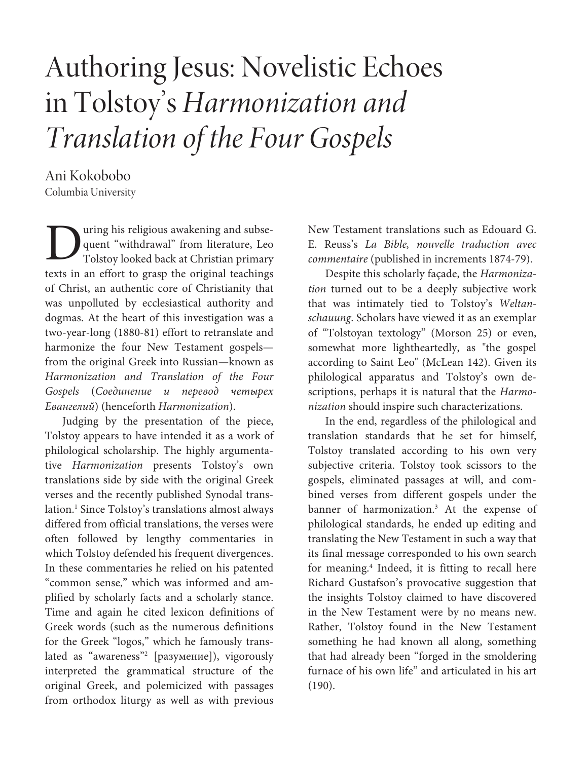# Authoring Jesus: Novelistic Echoes in Tolstoy's Harmonization and Translation of the Four Gospels

Ani Kokobobo Columbia University

uring his religious awakening and subsequent "withdrawal" from literature, Leo Tolstoy looked back at Christian primary texts in an effort to grasp the original teachings of Christ, an authentic core of Christianity that was unpolluted by ecclesiastical authority and dogmas. At the heart of this investigation was a two-year-long (1880-81) effort to retranslate and harmonize the four New Testament gospels from the original Greek into Russian—known as Harmonization and Translation of the Four Gospels (Соединение и перевод четырех Eвангелий) (henceforth Harmonization). D

Judging by the presentation of the piece, Tolstoy appears to have intended it as a work of philological scholarship. The highly argumentative Harmonization presents Tolstoy's own translations side by side with the original Greek verses and the recently published Synodal translation.<sup>1</sup> Since Tolstoy's translations almost always differed from official translations, the verses were often followed by lengthy commentaries in which Tolstoy defended his frequent divergences. In these commentaries he relied on his patented "common sense," which was informed and amplified by scholarly facts and a scholarly stance. Time and again he cited lexicon definitions of Greek words (such as the numerous definitions for the Greek "logos," which he famously translated as "awareness"<sup>2</sup> [разумение]), vigorously interpreted the grammatical structure of the original Greek, and polemicized with passages from orthodox liturgy as well as with previous

New Testament translations such as Edouard G. E. Reuss's La Bible, nouvelle traduction avec commentaire (published in increments 1874-79).

Despite this scholarly façade, the Harmonization turned out to be a deeply subjective work that was intimately tied to Tolstoy's Weltanschauung. Scholars have viewed it as an exemplar of "Tolstoyan textology" (Morson 25) or even, somewhat more lightheartedly, as "the gospel according to Saint Leo" (McLean 142). Given its philological apparatus and Tolstoy's own descriptions, perhaps it is natural that the Harmonization should inspire such characterizations.

In the end, regardless of the philological and translation standards that he set for himself, Tolstoy translated according to his own very subjective criteria. Tolstoy took scissors to the gospels, eliminated passages at will, and combined verses from different gospels under the banner of harmonization.<sup>3</sup> At the expense of philological standards, he ended up editing and translating the New Testament in such a way that its final message corresponded to his own search for meaning.<sup>4</sup> Indeed, it is fitting to recall here Richard Gustafson's provocative suggestion that the insights Tolstoy claimed to have discovered in the New Testament were by no means new. Rather, Tolstoy found in the New Testament something he had known all along, something that had already been "forged in the smoldering furnace of his own life" and articulated in his art (190).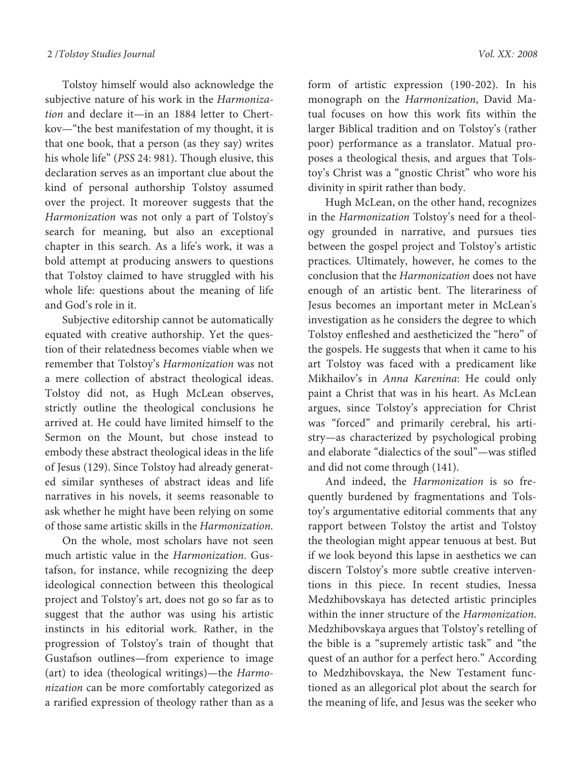Tolstoy himself would also acknowledge the subjective nature of his work in the Harmonization and declare it—in an 1884 letter to Chertkov—"the best manifestation of my thought, it is that one book, that a person (as they say) writes his whole life" (PSS 24: 981). Though elusive, this declaration serves as an important clue about the kind of personal authorship Tolstoy assumed over the project. It moreover suggests that the Harmonization was not only a part of Tolstoy's search for meaning, but also an exceptional chapter in this search. As a life's work, it was a bold attempt at producing answers to questions that Tolstoy claimed to have struggled with his whole life: questions about the meaning of life and God's role in it.

Subjective editorship cannot be automatically equated with creative authorship. Yet the question of their relatedness becomes viable when we remember that Tolstoy's Harmonization was not a mere collection of abstract theological ideas. Tolstoy did not, as Hugh McLean observes, strictly outline the theological conclusions he arrived at. He could have limited himself to the Sermon on the Mount, but chose instead to embody these abstract theological ideas in the life of Jesus (129). Since Tolstoy had already generated similar syntheses of abstract ideas and life narratives in his novels, it seems reasonable to ask whether he might have been relying on some of those same artistic skills in the Harmonization.

On the whole, most scholars have not seen much artistic value in the Harmonization. Gustafson, for instance, while recognizing the deep ideological connection between this theological project and Tolstoy's art, does not go so far as to suggest that the author was using his artistic instincts in his editorial work. Rather, in the progression of Tolstoy's train of thought that Gustafson outlines—from experience to image (art) to idea (theological writings)—the Harmonization can be more comfortably categorized as a rarified expression of theology rather than as a

form of artistic expression (190-202). In his monograph on the Harmonization, David Matual focuses on how this work fits within the larger Biblical tradition and on Tolstoy's (rather poor) performance as a translator. Matual proposes a theological thesis, and argues that Tolstoy's Christ was a "gnostic Christ" who wore his divinity in spirit rather than body.

Hugh McLean, on the other hand, recognizes in the Harmonization Tolstoy's need for a theology grounded in narrative, and pursues ties between the gospel project and Tolstoy's artistic practices. Ultimately, however, he comes to the conclusion that the Harmonization does not have enough of an artistic bent. The literariness of Jesus becomes an important meter in McLean's investigation as he considers the degree to which Tolstoy enfleshed and aestheticized the "hero" of the gospels. He suggests that when it came to his art Tolstoy was faced with a predicament like Mikhailov's in Anna Karenina: He could only paint a Christ that was in his heart. As McLean argues, since Tolstoy's appreciation for Christ was "forced" and primarily cerebral, his artistry—as characterized by psychological probing and elaborate "dialectics of the soul"—was stifled and did not come through (141).

And indeed, the Harmonization is so frequently burdened by fragmentations and Tolstoy's argumentative editorial comments that any rapport between Tolstoy the artist and Tolstoy the theologian might appear tenuous at best. But if we look beyond this lapse in aesthetics we can discern Tolstoy's more subtle creative interventions in this piece. In recent studies, Inessa Medzhibovskaya has detected artistic principles within the inner structure of the Harmonization. Medzhibovskaya argues that Tolstoy's retelling of the bible is a "supremely artistic task" and "the quest of an author for a perfect hero." According to Medzhibovskaya, the New Testament functioned as an allegorical plot about the search for the meaning of life, and Jesus was the seeker who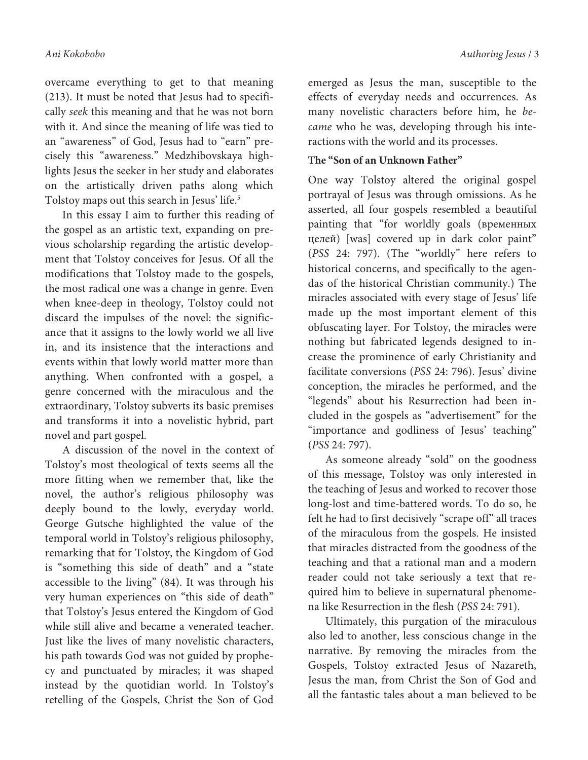overcame everything to get to that meaning (213). It must be noted that Jesus had to specifically seek this meaning and that he was not born with it. And since the meaning of life was tied to an "awareness" of God, Jesus had to "earn" precisely this "awareness." Medzhibovskaya highlights Jesus the seeker in her study and elaborates on the artistically driven paths along which Tolstoy maps out this search in Jesus' life.<sup>5</sup>

In this essay I aim to further this reading of the gospel as an artistic text, expanding on previous scholarship regarding the artistic development that Tolstoy conceives for Jesus. Of all the modifications that Tolstoy made to the gospels, the most radical one was a change in genre. Even when knee-deep in theology, Tolstoy could not discard the impulses of the novel: the significance that it assigns to the lowly world we all live in, and its insistence that the interactions and events within that lowly world matter more than anything. When confronted with a gospel, a genre concerned with the miraculous and the extraordinary, Tolstoy subverts its basic premises and transforms it into a novelistic hybrid, part novel and part gospel.

A discussion of the novel in the context of Tolstoy's most theological of texts seems all the more fitting when we remember that, like the novel, the author's religious philosophy was deeply bound to the lowly, everyday world. George Gutsche highlighted the value of the temporal world in Tolstoy's religious philosophy, remarking that for Tolstoy, the Kingdom of God is "something this side of death" and a "state accessible to the living" (84). It was through his very human experiences on "this side of death" that Tolstoy's Jesus entered the Kingdom of God while still alive and became a venerated teacher. Just like the lives of many novelistic characters, his path towards God was not guided by prophecy and punctuated by miracles; it was shaped instead by the quotidian world. In Tolstoy's retelling of the Gospels, Christ the Son of God

emerged as Jesus the man, susceptible to the effects of everyday needs and occurrences. As many novelistic characters before him, he became who he was, developing through his interactions with the world and its processes.

# **The "Son of an Unknown Father"**

One way Tolstoy altered the original gospel portrayal of Jesus was through omissions. As he asserted, all four gospels resembled a beautiful painting that "for worldly goals (временных целей) [was] covered up in dark color paint" (PSS 24: 797). (The "worldly" here refers to historical concerns, and specifically to the agendas of the historical Christian community.) The miracles associated with every stage of Jesus' life made up the most important element of this obfuscating layer. For Tolstoy, the miracles were nothing but fabricated legends designed to increase the prominence of early Christianity and facilitate conversions (PSS 24: 796). Jesus' divine conception, the miracles he performed, and the "legends" about his Resurrection had been included in the gospels as "advertisement" for the "importance and godliness of Jesus' teaching" (PSS 24: 797).

As someone already "sold" on the goodness of this message, Tolstoy was only interested in the teaching of Jesus and worked to recover those long-lost and time-battered words. To do so, he felt he had to first decisively "scrape off" all traces of the miraculous from the gospels. He insisted that miracles distracted from the goodness of the teaching and that a rational man and a modern reader could not take seriously a text that required him to believe in supernatural phenomena like Resurrection in the flesh (PSS 24: 791).

Ultimately, this purgation of the miraculous also led to another, less conscious change in the narrative. By removing the miracles from the Gospels, Tolstoy extracted Jesus of Nazareth, Jesus the man, from Christ the Son of God and all the fantastic tales about a man believed to be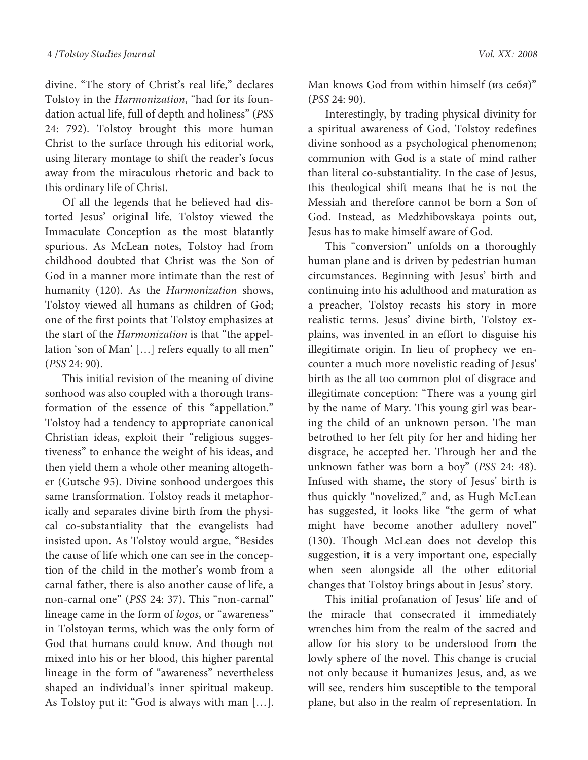divine. "The story of Christ's real life," declares Tolstoy in the Harmonization, "had for its foundation actual life, full of depth and holiness" (PSS 24: 792). Tolstoy brought this more human Christ to the surface through his editorial work, using literary montage to shift the reader's focus away from the miraculous rhetoric and back to this ordinary life of Christ.

Of all the legends that he believed had distorted Jesus' original life, Tolstoy viewed the Immaculate Conception as the most blatantly spurious. As McLean notes, Tolstoy had from childhood doubted that Christ was the Son of God in a manner more intimate than the rest of humanity (120). As the Harmonization shows, Tolstoy viewed all humans as children of God; one of the first points that Tolstoy emphasizes at the start of the Harmonization is that "the appellation 'son of Man' […] refers equally to all men" (PSS 24: 90).

This initial revision of the meaning of divine sonhood was also coupled with a thorough transformation of the essence of this "appellation." Tolstoy had a tendency to appropriate canonical Christian ideas, exploit their "religious suggestiveness" to enhance the weight of his ideas, and then yield them a whole other meaning altogether (Gutsche 95). Divine sonhood undergoes this same transformation. Tolstoy reads it metaphorically and separates divine birth from the physical co-substantiality that the evangelists had insisted upon. As Tolstoy would argue, "Besides the cause of life which one can see in the conception of the child in the mother's womb from a carnal father, there is also another cause of life, a non-carnal one" (PSS 24: 37). This "non-carnal" lineage came in the form of logos, or "awareness" in Tolstoyan terms, which was the only form of God that humans could know. And though not mixed into his or her blood, this higher parental lineage in the form of "awareness" nevertheless shaped an individual's inner spiritual makeup. As Tolstoy put it: "God is always with man […].

Man knows God from within himself (из себя)" (PSS 24: 90).

Interestingly, by trading physical divinity for a spiritual awareness of God, Tolstoy redefines divine sonhood as a psychological phenomenon; communion with God is a state of mind rather than literal co-substantiality. In the case of Jesus, this theological shift means that he is not the Messiah and therefore cannot be born a Son of God. Instead, as Medzhibovskaya points out, Jesus has to make himself aware of God.

This "conversion" unfolds on a thoroughly human plane and is driven by pedestrian human circumstances. Beginning with Jesus' birth and continuing into his adulthood and maturation as a preacher, Tolstoy recasts his story in more realistic terms. Jesus' divine birth, Tolstoy explains, was invented in an effort to disguise his illegitimate origin. In lieu of prophecy we encounter a much more novelistic reading of Jesus' birth as the all too common plot of disgrace and illegitimate conception: "There was a young girl by the name of Mary. This young girl was bearing the child of an unknown person. The man betrothed to her felt pity for her and hiding her disgrace, he accepted her. Through her and the unknown father was born a boy" (PSS 24: 48). Infused with shame, the story of Jesus' birth is thus quickly "novelized," and, as Hugh McLean has suggested, it looks like "the germ of what might have become another adultery novel" (130). Though McLean does not develop this suggestion, it is a very important one, especially when seen alongside all the other editorial changes that Tolstoy brings about in Jesus' story.

This initial profanation of Jesus' life and of the miracle that consecrated it immediately wrenches him from the realm of the sacred and allow for his story to be understood from the lowly sphere of the novel. This change is crucial not only because it humanizes Jesus, and, as we will see, renders him susceptible to the temporal plane, but also in the realm of representation. In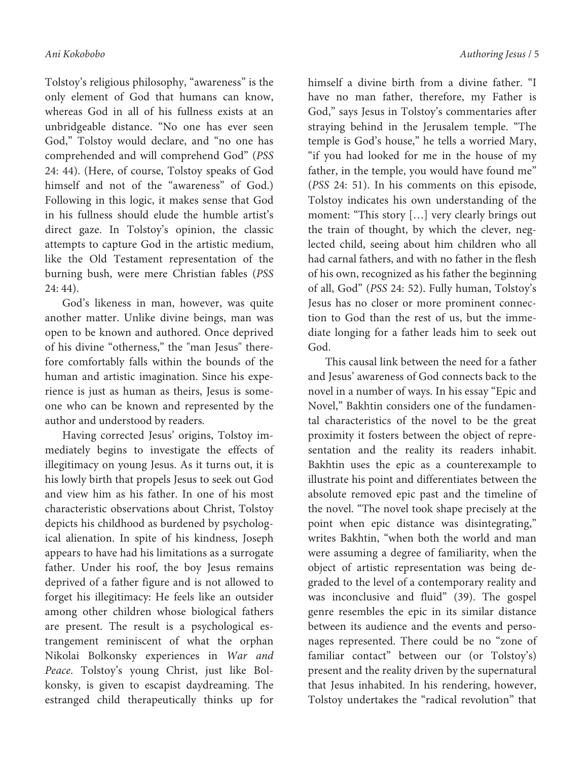Tolstoy's religious philosophy, "awareness" is the only element of God that humans can know, whereas God in all of his fullness exists at an unbridgeable distance. "No one has ever seen God," Tolstoy would declare, and "no one has comprehended and will comprehend God" (PSS 24: 44). (Here, of course, Tolstoy speaks of God himself and not of the "awareness" of God.) Following in this logic, it makes sense that God in his fullness should elude the humble artist's direct gaze. In Tolstoy's opinion, the classic attempts to capture God in the artistic medium, like the Old Testament representation of the burning bush, were mere Christian fables (PSS 24: 44).

God's likeness in man, however, was quite another matter. Unlike divine beings, man was open to be known and authored. Once deprived of his divine "otherness," the "man Jesus" therefore comfortably falls within the bounds of the human and artistic imagination. Since his experience is just as human as theirs, Jesus is someone who can be known and represented by the author and understood by readers.

Having corrected Jesus' origins, Tolstoy immediately begins to investigate the effects of illegitimacy on young Jesus. As it turns out, it is his lowly birth that propels Jesus to seek out God and view him as his father. In one of his most characteristic observations about Christ, Tolstoy depicts his childhood as burdened by psychological alienation. In spite of his kindness, Joseph appears to have had his limitations as a surrogate father. Under his roof, the boy Jesus remains deprived of a father figure and is not allowed to forget his illegitimacy: He feels like an outsider among other children whose biological fathers are present. The result is a psychological estrangement reminiscent of what the orphan Nikolai Bolkonsky experiences in War and Peace. Tolstoy's young Christ, just like Bolkonsky, is given to escapist daydreaming. The estranged child therapeutically thinks up for

himself a divine birth from a divine father. "I have no man father, therefore, my Father is God," says Jesus in Tolstoy's commentaries after straying behind in the Jerusalem temple. "The temple is God's house," he tells a worried Mary, "if you had looked for me in the house of my father, in the temple, you would have found me" (PSS 24: 51). In his comments on this episode, Tolstoy indicates his own understanding of the moment: "This story […] very clearly brings out the train of thought, by which the clever, neglected child, seeing about him children who all had carnal fathers, and with no father in the flesh of his own, recognized as his father the beginning of all, God" (PSS 24: 52). Fully human, Tolstoy's Jesus has no closer or more prominent connection to God than the rest of us, but the immediate longing for a father leads him to seek out God.

This causal link between the need for a father and Jesus' awareness of God connects back to the novel in a number of ways. In his essay "Epic and Novel," Bakhtin considers one of the fundamental characteristics of the novel to be the great proximity it fosters between the object of representation and the reality its readers inhabit. Bakhtin uses the epic as a counterexample to illustrate his point and differentiates between the absolute removed epic past and the timeline of the novel. "The novel took shape precisely at the point when epic distance was disintegrating," writes Bakhtin, "when both the world and man were assuming a degree of familiarity, when the object of artistic representation was being degraded to the level of a contemporary reality and was inconclusive and fluid" (39). The gospel genre resembles the epic in its similar distance between its audience and the events and personages represented. There could be no "zone of familiar contact" between our (or Tolstoy's) present and the reality driven by the supernatural that Jesus inhabited. In his rendering, however, Tolstoy undertakes the "radical revolution" that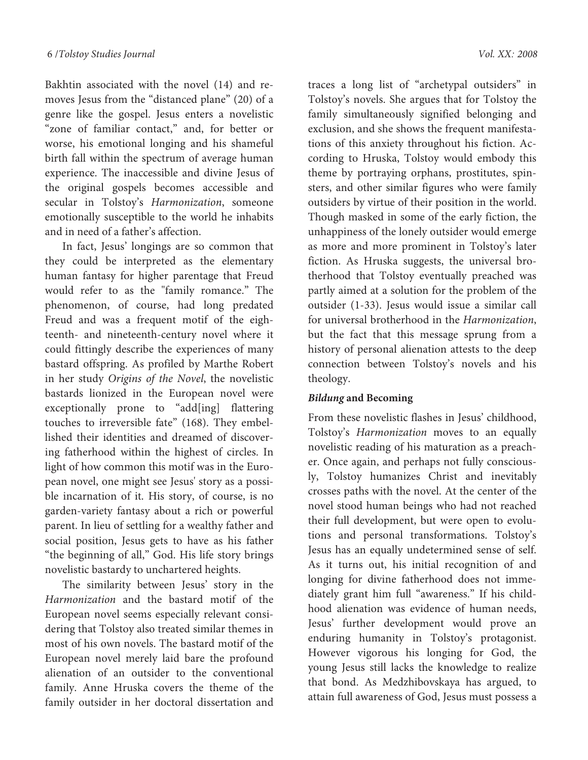Bakhtin associated with the novel (14) and removes Jesus from the "distanced plane" (20) of a genre like the gospel. Jesus enters a novelistic "zone of familiar contact," and, for better or worse, his emotional longing and his shameful birth fall within the spectrum of average human experience. The inaccessible and divine Jesus of the original gospels becomes accessible and secular in Tolstoy's Harmonization, someone emotionally susceptible to the world he inhabits and in need of a father's affection.

In fact, Jesus' longings are so common that they could be interpreted as the elementary human fantasy for higher parentage that Freud would refer to as the "family romance." The phenomenon, of course, had long predated Freud and was a frequent motif of the eighteenth- and nineteenth-century novel where it could fittingly describe the experiences of many bastard offspring. As profiled by Marthe Robert in her study Origins of the Novel, the novelistic bastards lionized in the European novel were exceptionally prone to "add[ing] flattering touches to irreversible fate" (168). They embellished their identities and dreamed of discovering fatherhood within the highest of circles. In light of how common this motif was in the European novel, one might see Jesus' story as a possible incarnation of it. His story, of course, is no garden-variety fantasy about a rich or powerful parent. In lieu of settling for a wealthy father and social position, Jesus gets to have as his father "the beginning of all," God. His life story brings novelistic bastardy to unchartered heights.

The similarity between Jesus' story in the Harmonization and the bastard motif of the European novel seems especially relevant considering that Tolstoy also treated similar themes in most of his own novels. The bastard motif of the European novel merely laid bare the profound alienation of an outsider to the conventional family. Anne Hruska covers the theme of the family outsider in her doctoral dissertation and

traces a long list of "archetypal outsiders" in Tolstoy's novels. She argues that for Tolstoy the family simultaneously signified belonging and exclusion, and she shows the frequent manifestations of this anxiety throughout his fiction. According to Hruska, Tolstoy would embody this theme by portraying orphans, prostitutes, spinsters, and other similar figures who were family outsiders by virtue of their position in the world. Though masked in some of the early fiction, the unhappiness of the lonely outsider would emerge as more and more prominent in Tolstoy's later fiction. As Hruska suggests, the universal brotherhood that Tolstoy eventually preached was partly aimed at a solution for the problem of the outsider (1-33). Jesus would issue a similar call for universal brotherhood in the Harmonization, but the fact that this message sprung from a history of personal alienation attests to the deep connection between Tolstoy's novels and his theology.

# **Bildung and Becoming**

From these novelistic flashes in Jesus' childhood, Tolstoy's Harmonization moves to an equally novelistic reading of his maturation as a preacher. Once again, and perhaps not fully consciously, Tolstoy humanizes Christ and inevitably crosses paths with the novel. At the center of the novel stood human beings who had not reached their full development, but were open to evolutions and personal transformations. Tolstoy's Jesus has an equally undetermined sense of self. As it turns out, his initial recognition of and longing for divine fatherhood does not immediately grant him full "awareness." If his childhood alienation was evidence of human needs, Jesus' further development would prove an enduring humanity in Tolstoy's protagonist. However vigorous his longing for God, the young Jesus still lacks the knowledge to realize that bond. As Medzhibovskaya has argued, to attain full awareness of God, Jesus must possess a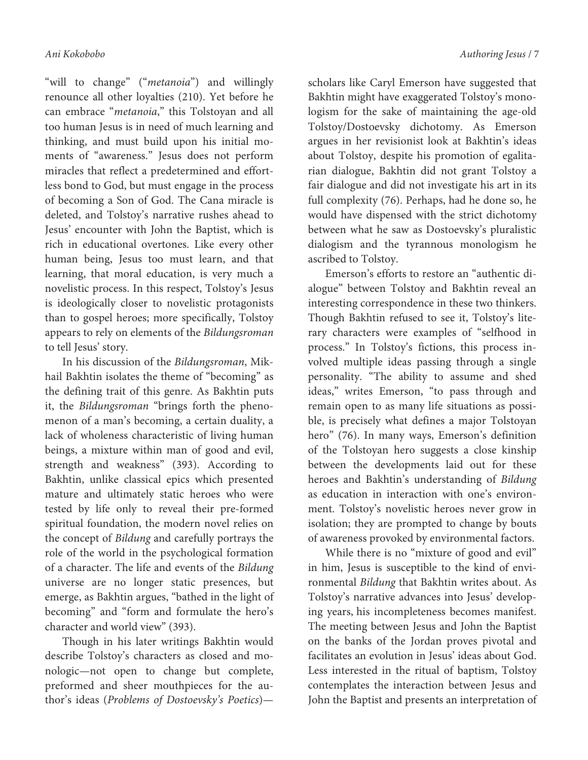"will to change" ("metanoia") and willingly renounce all other loyalties (210). Yet before he can embrace "metanoia," this Tolstoyan and all too human Jesus is in need of much learning and thinking, and must build upon his initial moments of "awareness." Jesus does not perform miracles that reflect a predetermined and effortless bond to God, but must engage in the process of becoming a Son of God. The Cana miracle is deleted, and Tolstoy's narrative rushes ahead to Jesus' encounter with John the Baptist, which is rich in educational overtones. Like every other human being, Jesus too must learn, and that learning, that moral education, is very much a novelistic process. In this respect, Tolstoy's Jesus is ideologically closer to novelistic protagonists than to gospel heroes; more specifically, Tolstoy appears to rely on elements of the Bildungsroman to tell Jesus' story.

In his discussion of the Bildungsroman, Mikhail Bakhtin isolates the theme of "becoming" as the defining trait of this genre. As Bakhtin puts it, the Bildungsroman "brings forth the phenomenon of a man's becoming, a certain duality, a lack of wholeness characteristic of living human beings, a mixture within man of good and evil, strength and weakness" (393). According to Bakhtin, unlike classical epics which presented mature and ultimately static heroes who were tested by life only to reveal their pre-formed spiritual foundation, the modern novel relies on the concept of Bildung and carefully portrays the role of the world in the psychological formation of a character. The life and events of the Bildung universe are no longer static presences, but emerge, as Bakhtin argues, "bathed in the light of becoming" and "form and formulate the hero's character and world view" (393).

Though in his later writings Bakhtin would describe Tolstoy's characters as closed and monologic—not open to change but complete, preformed and sheer mouthpieces for the author's ideas (Problems of Dostoevsky's Poetics)—

scholars like Caryl Emerson have suggested that Bakhtin might have exaggerated Tolstoy's monologism for the sake of maintaining the age-old Tolstoy/Dostoevsky dichotomy. As Emerson argues in her revisionist look at Bakhtin's ideas about Tolstoy, despite his promotion of egalitarian dialogue, Bakhtin did not grant Tolstoy a fair dialogue and did not investigate his art in its full complexity (76). Perhaps, had he done so, he would have dispensed with the strict dichotomy between what he saw as Dostoevsky's pluralistic dialogism and the tyrannous monologism he ascribed to Tolstoy.

Emerson's efforts to restore an "authentic dialogue" between Tolstoy and Bakhtin reveal an interesting correspondence in these two thinkers. Though Bakhtin refused to see it, Tolstoy's literary characters were examples of "selfhood in process." In Tolstoy's fictions, this process involved multiple ideas passing through a single personality. "The ability to assume and shed ideas," writes Emerson, "to pass through and remain open to as many life situations as possible, is precisely what defines a major Tolstoyan hero" (76). In many ways, Emerson's definition of the Tolstoyan hero suggests a close kinship between the developments laid out for these heroes and Bakhtin's understanding of Bildung as education in interaction with one's environment. Tolstoy's novelistic heroes never grow in isolation; they are prompted to change by bouts of awareness provoked by environmental factors.

While there is no "mixture of good and evil" in him, Jesus is susceptible to the kind of environmental Bildung that Bakhtin writes about. As Tolstoy's narrative advances into Jesus' developing years, his incompleteness becomes manifest. The meeting between Jesus and John the Baptist on the banks of the Jordan proves pivotal and facilitates an evolution in Jesus' ideas about God. Less interested in the ritual of baptism, Tolstoy contemplates the interaction between Jesus and John the Baptist and presents an interpretation of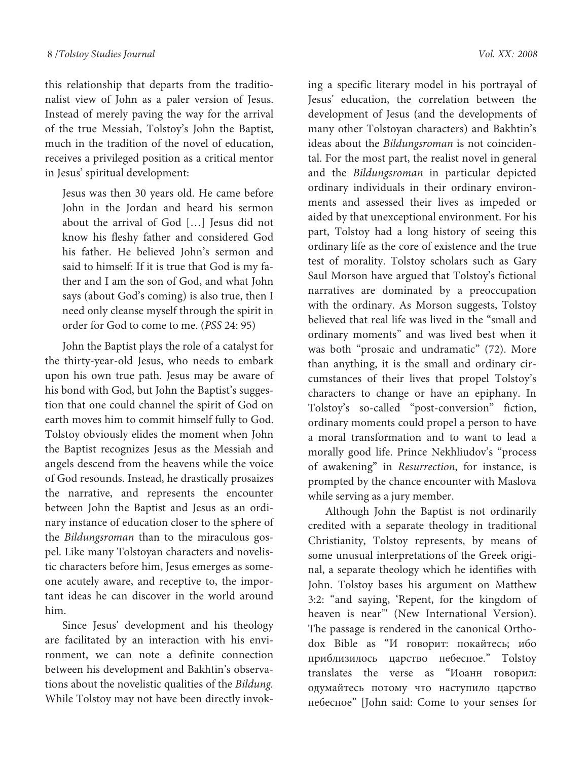this relationship that departs from the traditionalist view of John as a paler version of Jesus. Instead of merely paving the way for the arrival of the true Messiah, Tolstoy's John the Baptist, much in the tradition of the novel of education, receives a privileged position as a critical mentor in Jesus' spiritual development:

Jesus was then 30 years old. He came before John in the Jordan and heard his sermon about the arrival of God […] Jesus did not know his fleshy father and considered God his father. He believed John's sermon and said to himself: If it is true that God is my father and I am the son of God, and what John says (about God's coming) is also true, then I need only cleanse myself through the spirit in order for God to come to me. (PSS 24: 95)

John the Baptist plays the role of a catalyst for the thirty-year-old Jesus, who needs to embark upon his own true path. Jesus may be aware of his bond with God, but John the Baptist's suggestion that one could channel the spirit of God on earth moves him to commit himself fully to God. Tolstoy obviously elides the moment when John the Baptist recognizes Jesus as the Messiah and angels descend from the heavens while the voice of God resounds. Instead, he drastically prosaizes the narrative, and represents the encounter between John the Baptist and Jesus as an ordinary instance of education closer to the sphere of the Bildungsroman than to the miraculous gospel. Like many Tolstoyan characters and novelistic characters before him, Jesus emerges as someone acutely aware, and receptive to, the important ideas he can discover in the world around him.

Since Jesus' development and his theology are facilitated by an interaction with his environment, we can note a definite connection between his development and Bakhtin's observations about the novelistic qualities of the Bildung. While Tolstoy may not have been directly invok-

ing a specific literary model in his portrayal of Jesus' education, the correlation between the development of Jesus (and the developments of many other Tolstoyan characters) and Bakhtin's ideas about the Bildungsroman is not coincidental. For the most part, the realist novel in general and the Bildungsroman in particular depicted ordinary individuals in their ordinary environments and assessed their lives as impeded or aided by that unexceptional environment. For his part, Tolstoy had a long history of seeing this ordinary life as the core of existence and the true test of morality. Tolstoy scholars such as Gary Saul Morson have argued that Tolstoy's fictional narratives are dominated by a preoccupation with the ordinary. As Morson suggests, Tolstoy believed that real life was lived in the "small and ordinary moments" and was lived best when it was both "prosaic and undramatic" (72). More than anything, it is the small and ordinary circumstances of their lives that propel Tolstoy's characters to change or have an epiphany. In Tolstoy's so-called "post-conversion" fiction, ordinary moments could propel a person to have a moral transformation and to want to lead a morally good life. Prince Nekhliudov's "process of awakening" in Resurrection, for instance, is prompted by the chance encounter with Maslova while serving as a jury member.

Although John the Baptist is not ordinarily credited with a separate theology in traditional Christianity, Tolstoy represents, by means of some unusual interpretations of the Greek original, a separate theology which he identifies with John. Tolstoy bases his argument on Matthew 3:2: "and saying, 'Repent, for the kingdom of heaven is near'" (New International Version). The passage is rendered in the canonical Orthodox Bible as "И говорит: покайтесь; ибо приблизилось царство небесное." Tolstoy translates the verse as "Иоанн говорил: одумайтесь потому что наступило царство небесное" [John said: Come to your senses for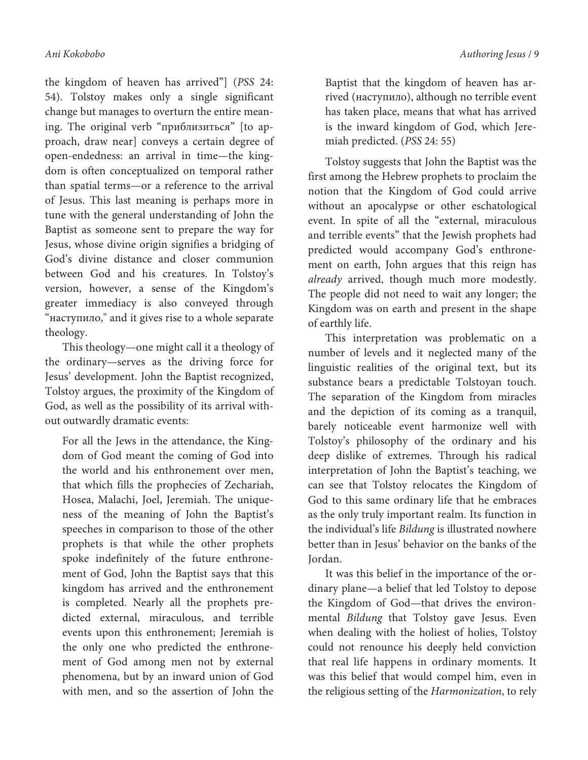the kingdom of heaven has arrived"] (PSS 24: 54). Tolstoy makes only a single significant change but manages to overturn the entire meaning. The original verb "приблизиться" [to approach, draw near] conveys a certain degree of open-endedness: an arrival in time—the kingdom is often conceptualized on temporal rather than spatial terms—or a reference to the arrival of Jesus. This last meaning is perhaps more in tune with the general understanding of John the Baptist as someone sent to prepare the way for Jesus, whose divine origin signifies a bridging of God's divine distance and closer communion between God and his creatures. In Tolstoy's version, however, a sense of the Kingdom's greater immediacy is also conveyed through "наступило," and it gives rise to a whole separate theology.

This theology—one might call it a theology of the ordinary—serves as the driving force for Jesus' development. John the Baptist recognized, Tolstoy argues, the proximity of the Kingdom of God, as well as the possibility of its arrival without outwardly dramatic events:

For all the Jews in the attendance, the Kingdom of God meant the coming of God into the world and his enthronement over men, that which fills the prophecies of Zechariah, Hosea, Malachi, Joel, Jeremiah. The uniqueness of the meaning of John the Baptist's speeches in comparison to those of the other prophets is that while the other prophets spoke indefinitely of the future enthronement of God, John the Baptist says that this kingdom has arrived and the enthronement is completed. Nearly all the prophets predicted external, miraculous, and terrible events upon this enthronement; Jeremiah is the only one who predicted the enthronement of God among men not by external phenomena, but by an inward union of God with men, and so the assertion of John the Baptist that the kingdom of heaven has arrived (наступило), although no terrible event has taken place, means that what has arrived is the inward kingdom of God, which Jeremiah predicted. (PSS 24: 55)

Tolstoy suggests that John the Baptist was the first among the Hebrew prophets to proclaim the notion that the Kingdom of God could arrive without an apocalypse or other eschatological event. In spite of all the "external, miraculous and terrible events" that the Jewish prophets had predicted would accompany God's enthronement on earth, John argues that this reign has already arrived, though much more modestly. The people did not need to wait any longer; the Kingdom was on earth and present in the shape of earthly life.

This interpretation was problematic on a number of levels and it neglected many of the linguistic realities of the original text, but its substance bears a predictable Tolstoyan touch. The separation of the Kingdom from miracles and the depiction of its coming as a tranquil, barely noticeable event harmonize well with Tolstoy's philosophy of the ordinary and his deep dislike of extremes. Through his radical interpretation of John the Baptist's teaching, we can see that Tolstoy relocates the Kingdom of God to this same ordinary life that he embraces as the only truly important realm. Its function in the individual's life Bildung is illustrated nowhere better than in Jesus' behavior on the banks of the Jordan.

It was this belief in the importance of the ordinary plane—a belief that led Tolstoy to depose the Kingdom of God—that drives the environmental Bildung that Tolstoy gave Jesus. Even when dealing with the holiest of holies, Tolstoy could not renounce his deeply held conviction that real life happens in ordinary moments. It was this belief that would compel him, even in the religious setting of the Harmonization, to rely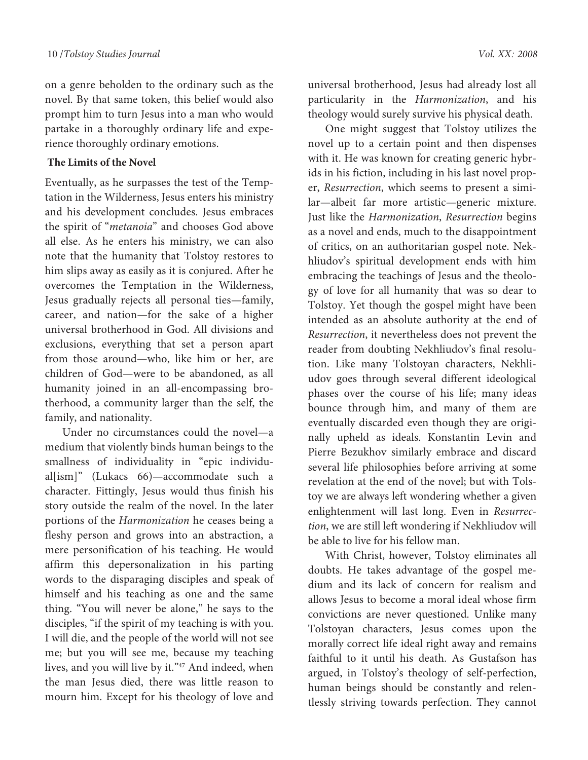on a genre beholden to the ordinary such as the novel. By that same token, this belief would also prompt him to turn Jesus into a man who would partake in a thoroughly ordinary life and experience thoroughly ordinary emotions.

### **The Limits of the Novel**

Eventually, as he surpasses the test of the Temptation in the Wilderness, Jesus enters his ministry and his development concludes. Jesus embraces the spirit of "metanoia" and chooses God above all else. As he enters his ministry, we can also note that the humanity that Tolstoy restores to him slips away as easily as it is conjured. After he overcomes the Temptation in the Wilderness, Jesus gradually rejects all personal ties—family, career, and nation—for the sake of a higher universal brotherhood in God. All divisions and exclusions, everything that set a person apart from those around—who, like him or her, are children of God—were to be abandoned, as all humanity joined in an all-encompassing brotherhood, a community larger than the self, the family, and nationality.

Under no circumstances could the novel—a medium that violently binds human beings to the smallness of individuality in "epic individual[ism]" (Lukacs 66)—accommodate such a character. Fittingly, Jesus would thus finish his story outside the realm of the novel. In the later portions of the Harmonization he ceases being a fleshy person and grows into an abstraction, a mere personification of his teaching. He would affirm this depersonalization in his parting words to the disparaging disciples and speak of himself and his teaching as one and the same thing. "You will never be alone," he says to the disciples, "if the spirit of my teaching is with you. I will die, and the people of the world will not see me; but you will see me, because my teaching lives, and you will live by it."<sup>47</sup> And indeed, when the man Jesus died, there was little reason to mourn him. Except for his theology of love and

universal brotherhood, Jesus had already lost all particularity in the Harmonization, and his theology would surely survive his physical death.

One might suggest that Tolstoy utilizes the novel up to a certain point and then dispenses with it. He was known for creating generic hybrids in his fiction, including in his last novel proper, Resurrection, which seems to present a similar—albeit far more artistic—generic mixture. Just like the Harmonization, Resurrection begins as a novel and ends, much to the disappointment of critics, on an authoritarian gospel note. Nekhliudov's spiritual development ends with him embracing the teachings of Jesus and the theology of love for all humanity that was so dear to Tolstoy. Yet though the gospel might have been intended as an absolute authority at the end of Resurrection, it nevertheless does not prevent the reader from doubting Nekhliudov's final resolution. Like many Tolstoyan characters, Nekhliudov goes through several different ideological phases over the course of his life; many ideas bounce through him, and many of them are eventually discarded even though they are originally upheld as ideals. Konstantin Levin and Pierre Bezukhov similarly embrace and discard several life philosophies before arriving at some revelation at the end of the novel; but with Tolstoy we are always left wondering whether a given enlightenment will last long. Even in Resurrection, we are still left wondering if Nekhliudov will be able to live for his fellow man.

With Christ, however, Tolstoy eliminates all doubts. He takes advantage of the gospel medium and its lack of concern for realism and allows Jesus to become a moral ideal whose firm convictions are never questioned. Unlike many Tolstoyan characters, Jesus comes upon the morally correct life ideal right away and remains faithful to it until his death. As Gustafson has argued, in Tolstoy's theology of self-perfection, human beings should be constantly and relentlessly striving towards perfection. They cannot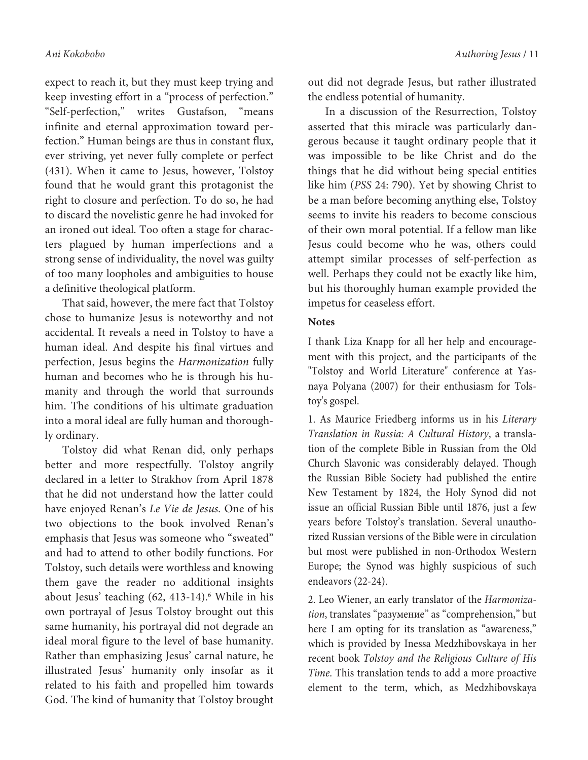expect to reach it, but they must keep trying and keep investing effort in a "process of perfection." "Self-perfection," writes Gustafson, "means infinite and eternal approximation toward perfection." Human beings are thus in constant flux, ever striving, yet never fully complete or perfect (431). When it came to Jesus, however, Tolstoy found that he would grant this protagonist the right to closure and perfection. To do so, he had to discard the novelistic genre he had invoked for an ironed out ideal. Too often a stage for characters plagued by human imperfections and a strong sense of individuality, the novel was guilty of too many loopholes and ambiguities to house a definitive theological platform.

That said, however, the mere fact that Tolstoy chose to humanize Jesus is noteworthy and not accidental. It reveals a need in Tolstoy to have a human ideal. And despite his final virtues and perfection, Jesus begins the Harmonization fully human and becomes who he is through his humanity and through the world that surrounds him. The conditions of his ultimate graduation into a moral ideal are fully human and thoroughly ordinary.

Tolstoy did what Renan did, only perhaps better and more respectfully. Tolstoy angrily declared in a letter to Strakhov from April 1878 that he did not understand how the latter could have enjoyed Renan's Le Vie de Jesus. One of his two objections to the book involved Renan's emphasis that Jesus was someone who "sweated" and had to attend to other bodily functions. For Tolstoy, such details were worthless and knowing them gave the reader no additional insights about Jesus' teaching (62, 413-14).<sup>6</sup> While in his own portrayal of Jesus Tolstoy brought out this same humanity, his portrayal did not degrade an ideal moral figure to the level of base humanity. Rather than emphasizing Jesus' carnal nature, he illustrated Jesus' humanity only insofar as it related to his faith and propelled him towards God. The kind of humanity that Tolstoy brought

out did not degrade Jesus, but rather illustrated the endless potential of humanity.

In a discussion of the Resurrection, Tolstoy asserted that this miracle was particularly dangerous because it taught ordinary people that it was impossible to be like Christ and do the things that he did without being special entities like him (PSS 24: 790). Yet by showing Christ to be a man before becoming anything else, Tolstoy seems to invite his readers to become conscious of their own moral potential. If a fellow man like Jesus could become who he was, others could attempt similar processes of self-perfection as well. Perhaps they could not be exactly like him, but his thoroughly human example provided the impetus for ceaseless effort.

# **Notes**

I thank Liza Knapp for all her help and encouragement with this project, and the participants of the "Tolstoy and World Literature" conference at Yasnaya Polyana (2007) for their enthusiasm for Tolstoy's gospel.

1. As Maurice Friedberg informs us in his Literary Translation in Russia: A Cultural History, a translation of the complete Bible in Russian from the Old Church Slavonic was considerably delayed. Though the Russian Bible Society had published the entire New Testament by 1824, the Holy Synod did not issue an official Russian Bible until 1876, just a few years before Tolstoy's translation. Several unauthorized Russian versions of the Bible were in circulation but most were published in non-Orthodox Western Europe; the Synod was highly suspicious of such endeavors (22-24).

2. Leo Wiener, an early translator of the Harmonization, translates "разумение" as "comprehension," but here I am opting for its translation as "awareness," which is provided by Inessa Medzhibovskaya in her recent book Tolstoy and the Religious Culture of His Time. This translation tends to add a more proactive element to the term, which, as Medzhibovskaya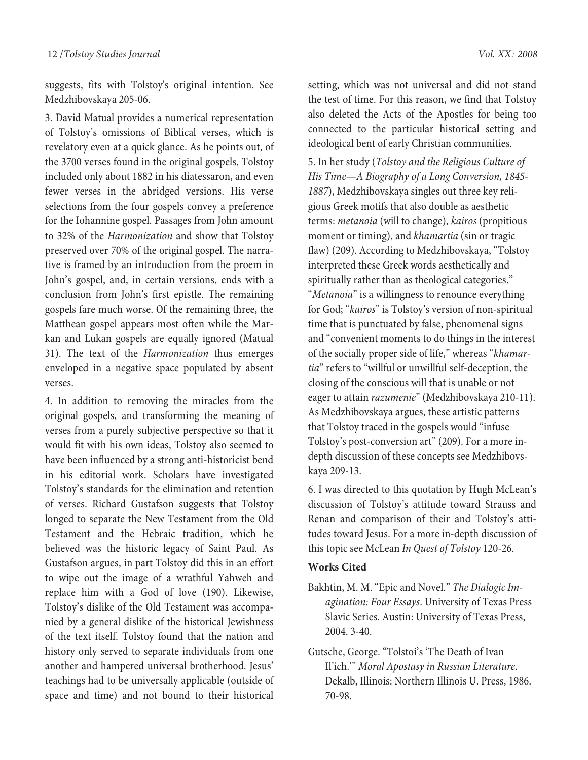suggests, fits with Tolstoy's original intention. See Medzhibovskaya 205-06.

3. David Matual provides a numerical representation of Tolstoy's omissions of Biblical verses, which is revelatory even at a quick glance. As he points out, of the 3700 verses found in the original gospels, Tolstoy included only about 1882 in his diatessaron, and even fewer verses in the abridged versions. His verse selections from the four gospels convey a preference for the Iohannine gospel. Passages from John amount to 32% of the Harmonization and show that Tolstoy preserved over 70% of the original gospel. The narrative is framed by an introduction from the proem in John's gospel, and, in certain versions, ends with a conclusion from John's first epistle. The remaining gospels fare much worse. Of the remaining three, the Matthean gospel appears most often while the Markan and Lukan gospels are equally ignored (Matual 31). The text of the Harmonization thus emerges enveloped in a negative space populated by absent verses.

4. In addition to removing the miracles from the original gospels, and transforming the meaning of verses from a purely subjective perspective so that it would fit with his own ideas, Tolstoy also seemed to have been influenced by a strong anti-historicist bend in his editorial work. Scholars have investigated Tolstoy's standards for the elimination and retention of verses. Richard Gustafson suggests that Tolstoy longed to separate the New Testament from the Old Testament and the Hebraic tradition, which he believed was the historic legacy of Saint Paul. As Gustafson argues, in part Tolstoy did this in an effort to wipe out the image of a wrathful Yahweh and replace him with a God of love (190). Likewise, Tolstoy's dislike of the Old Testament was accompanied by a general dislike of the historical Jewishness of the text itself. Tolstoy found that the nation and history only served to separate individuals from one another and hampered universal brotherhood. Jesus' teachings had to be universally applicable (outside of space and time) and not bound to their historical

setting, which was not universal and did not stand the test of time. For this reason, we find that Tolstoy also deleted the Acts of the Apostles for being too connected to the particular historical setting and ideological bent of early Christian communities.

5. In her study (Tolstoy and the Religious Culture of His Time—A Biography of a Long Conversion, 1845- 1887), Medzhibovskaya singles out three key religious Greek motifs that also double as aesthetic terms: metanoia (will to change), kairos (propitious moment or timing), and khamartia (sin or tragic flaw) (209). According to Medzhibovskaya, "Tolstoy interpreted these Greek words aesthetically and spiritually rather than as theological categories." "Metanoia" is a willingness to renounce everything for God; "kairos" is Tolstoy's version of non-spiritual time that is punctuated by false, phenomenal signs and "convenient moments to do things in the interest of the socially proper side of life," whereas "khamartia" refers to "willful or unwillful self-deception, the closing of the conscious will that is unable or not eager to attain razumenie" (Medzhibovskaya 210-11). As Medzhibovskaya argues, these artistic patterns that Tolstoy traced in the gospels would "infuse Tolstoy's post-conversion art" (209). For a more indepth discussion of these concepts see Medzhibovskaya 209-13.

6. I was directed to this quotation by Hugh McLean's discussion of Tolstoy's attitude toward Strauss and Renan and comparison of their and Tolstoy's attitudes toward Jesus. For a more in-depth discussion of this topic see McLean In Quest of Tolstoy 120-26.

#### **Works Cited**

- Bakhtin, M. M. "Epic and Novel." The Dialogic Imagination: Four Essays. University of Texas Press Slavic Series. Austin: University of Texas Press, 2004. 3-40.
- Gutsche, George. "Tolstoi's 'The Death of Ivan Il'ich.'" Moral Apostasy in Russian Literature. Dekalb, Illinois: Northern Illinois U. Press, 1986. 70-98.